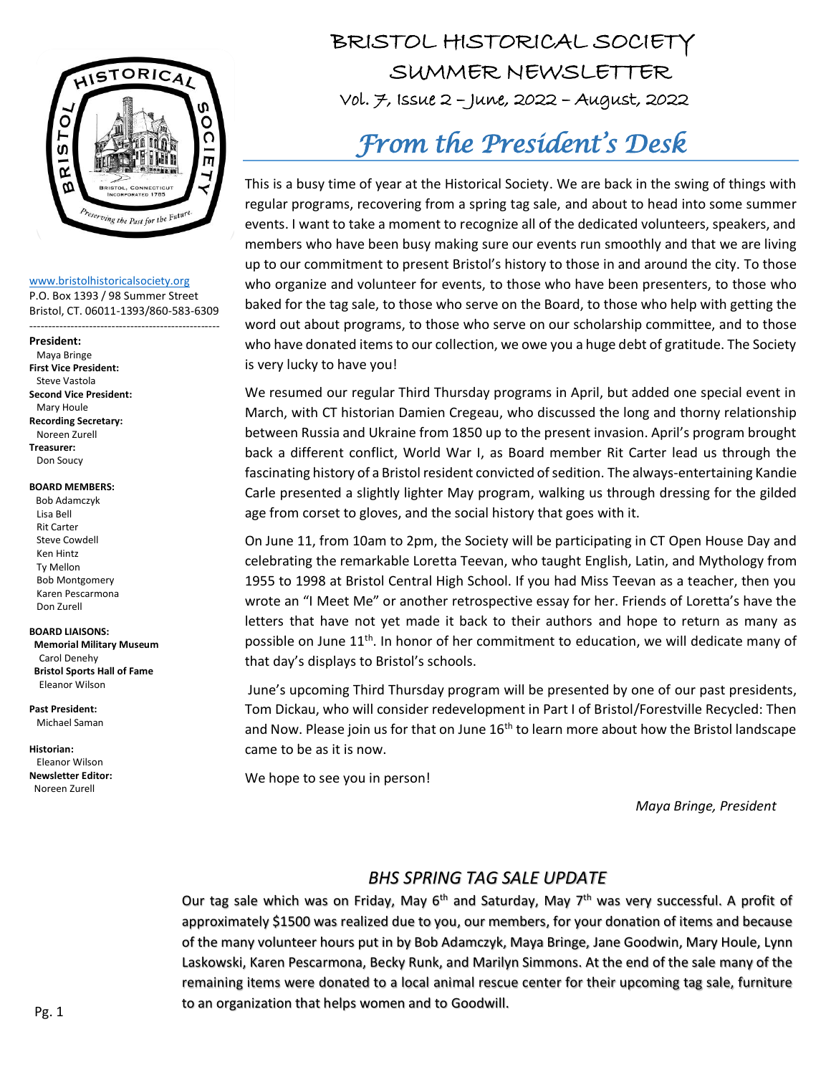

[www.bristolhistoricalsociety.org](http://www.bristolhistoricalsociety.org/)

P.O. Box 1393 / 98 Summer Street Bristol, CT. 06011-1393/860-583-6309

---------------------------------------------------

#### **President:**

 Maya Bringe **First Vice President:** Steve Vastola **Second Vice President:** Mary Houle **Recording Secretary:** Noreen Zurell **Treasurer:** Don Soucy

#### **BOARD MEMBERS:**

 Bob Adamczyk Lisa Bell Rit Carter Steve Cowdell Ken Hintz Ty Mellon Bob Montgomery Karen Pescarmona Don Zurell

#### **BOARD LIAISONS:**

 **Memorial Military Museum** Carol Denehy **Bristol Sports Hall of Fame** Eleanor Wilson

**Past President:** Michael Saman

**Historian:** Eleanor Wilson **Newsletter Editor:**  Noreen Zurell

## BRISTOL HISTORICAL SOCIETY HISTORICAL SUMMER NEWSLETTER  $vol.$   $\neq$ , Issue 2 – June, 2022 – August, 2022

# *From the President's Desk*

This is a busy time of year at the Historical Society. We are back in the swing of things with regular programs, recovering from a spring tag sale, and about to head into some summer events. I want to take a moment to recognize all of the dedicated volunteers, speakers, and members who have been busy making sure our events run smoothly and that we are living up to our commitment to present Bristol's history to those in and around the city. To those who organize and volunteer for events, to those who have been presenters, to those who baked for the tag sale, to those who serve on the Board, to those who help with getting the word out about programs, to those who serve on our scholarship committee, and to those who have donated items to our collection, we owe you a huge debt of gratitude. The Society is very lucky to have you!

We resumed our regular Third Thursday programs in April, but added one special event in March, with CT historian Damien Cregeau, who discussed the long and thorny relationship between Russia and Ukraine from 1850 up to the present invasion. April's program brought back a different conflict, World War I, as Board member Rit Carter lead us through the fascinating history of a Bristol resident convicted of sedition. The always-entertaining Kandie Carle presented a slightly lighter May program, walking us through dressing for the gilded age from corset to gloves, and the social history that goes with it.

On June 11, from 10am to 2pm, the Society will be participating in CT Open House Day and celebrating the remarkable Loretta Teevan, who taught English, Latin, and Mythology from 1955 to 1998 at Bristol Central High School. If you had Miss Teevan as a teacher, then you wrote an "I Meet Me" or another retrospective essay for her. Friends of Loretta's have the letters that have not yet made it back to their authors and hope to return as many as possible on June 11<sup>th</sup>. In honor of her commitment to education, we will dedicate many of that day's displays to Bristol's schools.

June's upcoming Third Thursday program will be presented by one of our past presidents, Tom Dickau, who will consider redevelopment in Part I of Bristol/Forestville Recycled: Then and Now. Please join us for that on June  $16<sup>th</sup>$  to learn more about how the Bristol landscape came to be as it is now.

We hope to see you in person!

*Maya Bringe, President*

#### *BHS SPRING TAG SALE UPDATE*

Laskowski, Karen Pescarmona, Becky Runk, and Marilyn Simmons. At the end of the sale many of the<br>remaining items were denated to a local animal ressue senter for their uncoming tag sale, furniture  to an organization that helps women and to Goodwill.*Maya Bringe*, President of the many volunteer hours put in by Bob Adamczyk, Maya Bringe, Jane Goodwin, Mary Houle, Lynn Our tag sale which was on Friday, May  $6<sup>th</sup>$  and Saturday, May  $7<sup>th</sup>$  was very successful. A profit of approximately \$1500 was realized due to you, our members, for your donation of items and because remaining items were donated to a local animal rescue center for their upcoming tag sale, furniture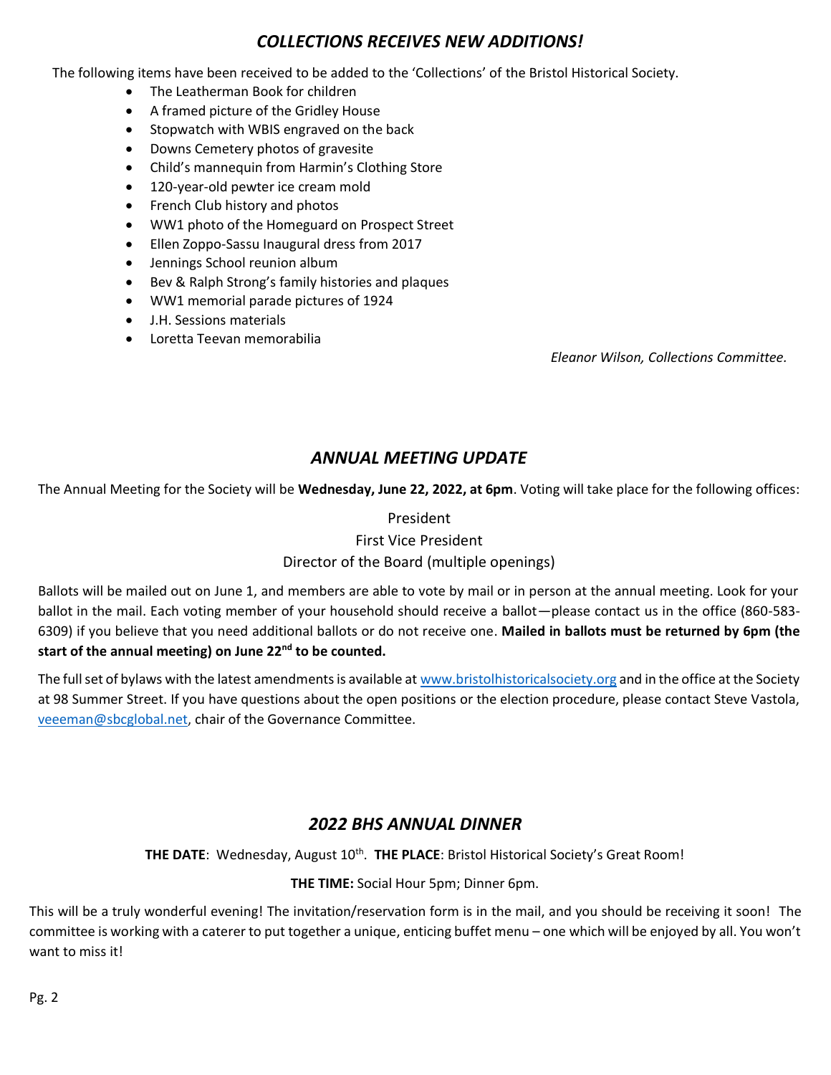#### *COLLECTIONS RECEIVES NEW ADDITIONS!*

The following items have been received to be added to the 'Collections' of the Bristol Historical Society.

- The Leatherman Book for children
- A framed picture of the Gridley House
- Stopwatch with WBIS engraved on the back
- Downs Cemetery photos of gravesite
- Child's mannequin from Harmin's Clothing Store
- 120-year-old pewter ice cream mold
- French Club history and photos
- WW1 photo of the Homeguard on Prospect Street
- Ellen Zoppo-Sassu Inaugural dress from 2017
- Jennings School reunion album
- Bev & Ralph Strong's family histories and plaques
- WW1 memorial parade pictures of 1924
- J.H. Sessions materials
- Loretta Teevan memorabilia

*Eleanor Wilson, Collections Committee.*

#### *ANNUAL MEETING UPDATE*

The Annual Meeting for the Society will be **Wednesday, June 22, 2022, at 6pm**. Voting will take place for the following offices:

#### President

#### First Vice President

#### Director of the Board (multiple openings)

Ballots will be mailed out on June 1, and members are able to vote by mail or in person at the annual meeting. Look for your ballot in the mail. Each voting member of your household should receive a ballot—please contact us in the office (860-583- 6309) if you believe that you need additional ballots or do not receive one. **Mailed in ballots must be returned by 6pm (the start of the annual meeting) on June 22nd to be counted.**

The full set of bylaws with the latest amendments is available at [www.bristolhistoricalsociety.org](http://www.bristolhistoricalsociety.org/) and in the office at the Society at 98 Summer Street. If you have questions about the open positions or the election procedure, please contact Steve Vastola, [veeeman@sbcglobal.net,](mailto:veeeman@sbcglobal.net) chair of the Governance Committee.

#### *2022 BHS ANNUAL DINNER*

THE DATE: Wednesday, August 10<sup>th</sup>. THE PLACE: Bristol Historical Society's Great Room!

**THE TIME:** Social Hour 5pm; Dinner 6pm.

This will be a truly wonderful evening! The invitation/reservation form is in the mail, and you should be receiving it soon! The committee is working with a caterer to put together a unique, enticing buffet menu – one which will be enjoyed by all. You won't want to miss it!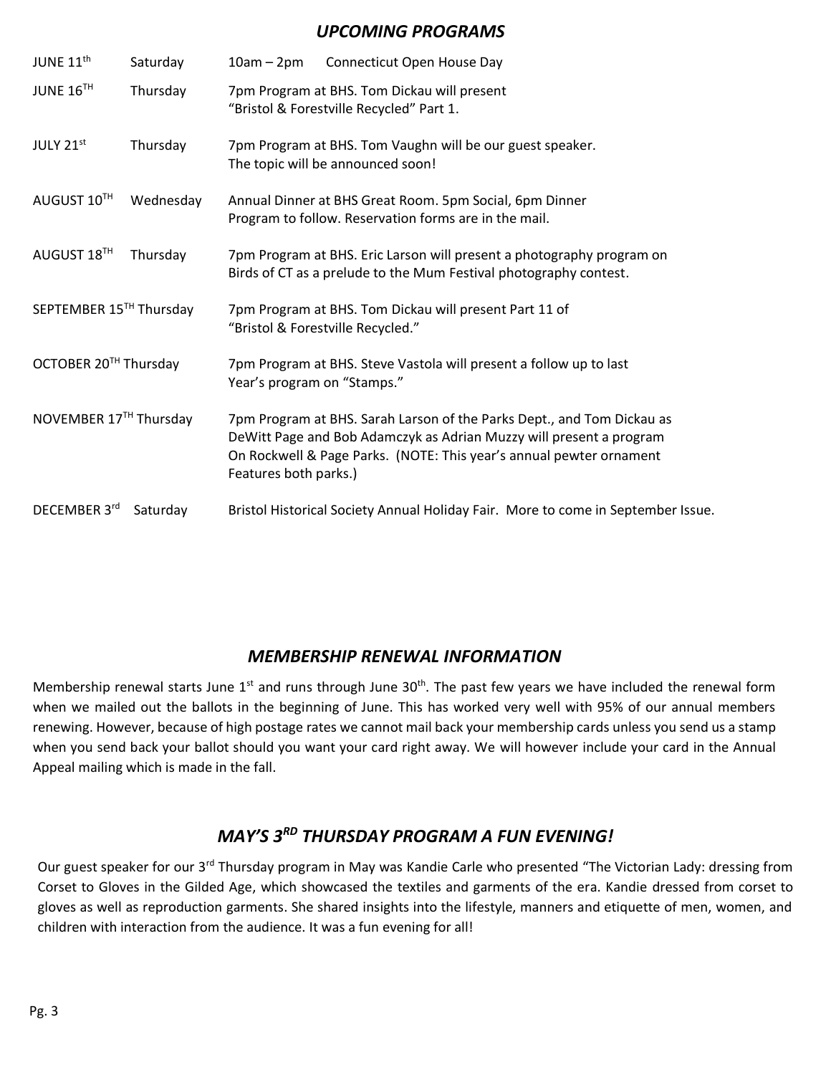#### *UPCOMING PROGRAMS*

| JUNE 11 <sup>th</sup>             | Saturday  | $10am - 2pm$<br>Connecticut Open House Day                                                                                                                                                                                                    |
|-----------------------------------|-----------|-----------------------------------------------------------------------------------------------------------------------------------------------------------------------------------------------------------------------------------------------|
| JUNE 16TH                         | Thursday  | 7pm Program at BHS. Tom Dickau will present<br>"Bristol & Forestville Recycled" Part 1.                                                                                                                                                       |
| JULY 21st                         | Thursday  | 7pm Program at BHS. Tom Vaughn will be our guest speaker.<br>The topic will be announced soon!                                                                                                                                                |
| AUGUST 10TH                       | Wednesday | Annual Dinner at BHS Great Room. 5pm Social, 6pm Dinner<br>Program to follow. Reservation forms are in the mail.                                                                                                                              |
| AUGUST 18TH                       | Thursday  | 7pm Program at BHS. Eric Larson will present a photography program on<br>Birds of CT as a prelude to the Mum Festival photography contest.                                                                                                    |
| SEPTEMBER 15TH Thursday           |           | 7pm Program at BHS. Tom Dickau will present Part 11 of<br>"Bristol & Forestville Recycled."                                                                                                                                                   |
| OCTOBER 20 <sup>TH</sup> Thursday |           | 7pm Program at BHS. Steve Vastola will present a follow up to last<br>Year's program on "Stamps."                                                                                                                                             |
| NOVEMBER 17TH Thursday            |           | 7pm Program at BHS. Sarah Larson of the Parks Dept., and Tom Dickau as<br>DeWitt Page and Bob Adamczyk as Adrian Muzzy will present a program<br>On Rockwell & Page Parks. (NOTE: This year's annual pewter ornament<br>Features both parks.) |
| DECEMBER 3rd                      | Saturday  | Bristol Historical Society Annual Holiday Fair. More to come in September Issue.                                                                                                                                                              |

#### *MEMBERSHIP RENEWAL INFORMATION*

Membership renewal starts June 1<sup>st</sup> and runs through June 30<sup>th</sup>. The past few years we have included the renewal form when we mailed out the ballots in the beginning of June. This has worked very well with 95% of our annual members renewing. However, because of high postage rates we cannot mail back your membership cards unless you send us a stamp when you send back your ballot should you want your card right away. We will however include your card in the Annual Appeal mailing which is made in the fall.

#### *MAY'S 3RD THURSDAY PROGRAM A FUN EVENING!*

Our guest speaker for our 3<sup>rd</sup> Thursday program in May was Kandie Carle who presented "The Victorian Lady: dressing from Corset to Gloves in the Gilded Age, which showcased the textiles and garments of the era. Kandie dressed from corset to gloves as well as reproduction garments. She shared insights into the lifestyle, manners and etiquette of men, women, and children with interaction from the audience. It was a fun evening for all!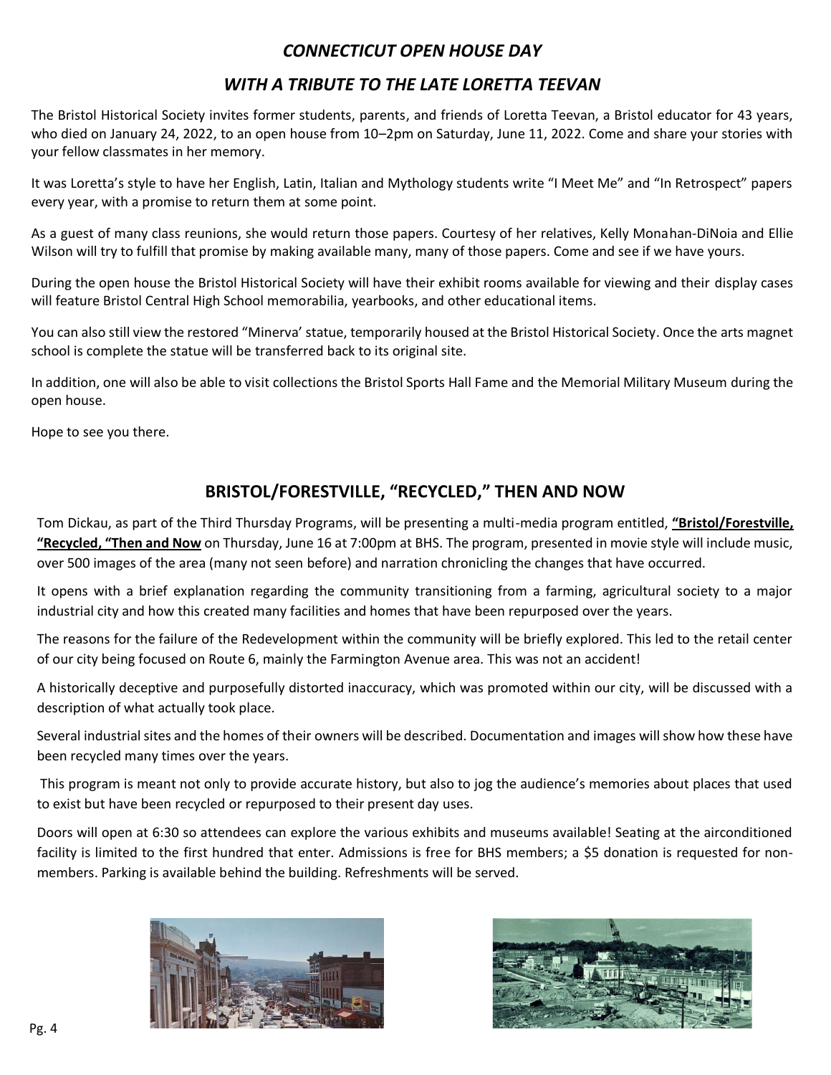#### *CONNECTICUT OPEN HOUSE DAY*

#### *WITH A TRIBUTE TO THE LATE LORETTA TEEVAN*

The Bristol Historical Society invites former students, parents, and friends of Loretta Teevan, a Bristol educator for 43 years, who died on January 24, 2022, to an open house from 10–2pm on Saturday, June 11, 2022. Come and share your stories with your fellow classmates in her memory.

It was Loretta's style to have her English, Latin, Italian and Mythology students write "I Meet Me" and "In Retrospect" papers every year, with a promise to return them at some point.

As a guest of many class reunions, she would return those papers. Courtesy of her relatives, Kelly Monahan-DiNoia and Ellie Wilson will try to fulfill that promise by making available many, many of those papers. Come and see if we have yours.

During the open house the Bristol Historical Society will have their exhibit rooms available for viewing and their display cases will feature Bristol Central High School memorabilia, yearbooks, and other educational items.

You can also still view the restored "Minerva' statue, temporarily housed at the Bristol Historical Society. Once the arts magnet school is complete the statue will be transferred back to its original site.

In addition, one will also be able to visit collections the Bristol Sports Hall Fame and the Memorial Military Museum during the open house.

Hope to see you there.

#### **BRISTOL/FORESTVILLE, "RECYCLED," THEN AND NOW**

Tom Dickau, as part of the Third Thursday Programs, will be presenting a multi-media program entitled, **"Bristol/Forestville, "Recycled, "Then and Now** on Thursday, June 16 at 7:00pm at BHS. The program, presented in movie style will include music, over 500 images of the area (many not seen before) and narration chronicling the changes that have occurred.

It opens with a brief explanation regarding the community transitioning from a farming, agricultural society to a major industrial city and how this created many facilities and homes that have been repurposed over the years.

The reasons for the failure of the Redevelopment within the community will be briefly explored. This led to the retail center of our city being focused on Route 6, mainly the Farmington Avenue area. This was not an accident!

A historically deceptive and purposefully distorted inaccuracy, which was promoted within our city, will be discussed with a description of what actually took place.

Several industrial sites and the homes of their owners will be described. Documentation and images will show how these have been recycled many times over the years.

This program is meant not only to provide accurate history, but also to jog the audience's memories about places that used to exist but have been recycled or repurposed to their present day uses.

Doors will open at 6:30 so attendees can explore the various exhibits and museums available! Seating at the airconditioned facility is limited to the first hundred that enter. Admissions is free for BHS members; a \$5 donation is requested for nonmembers. Parking is available behind the building. Refreshments will be served.



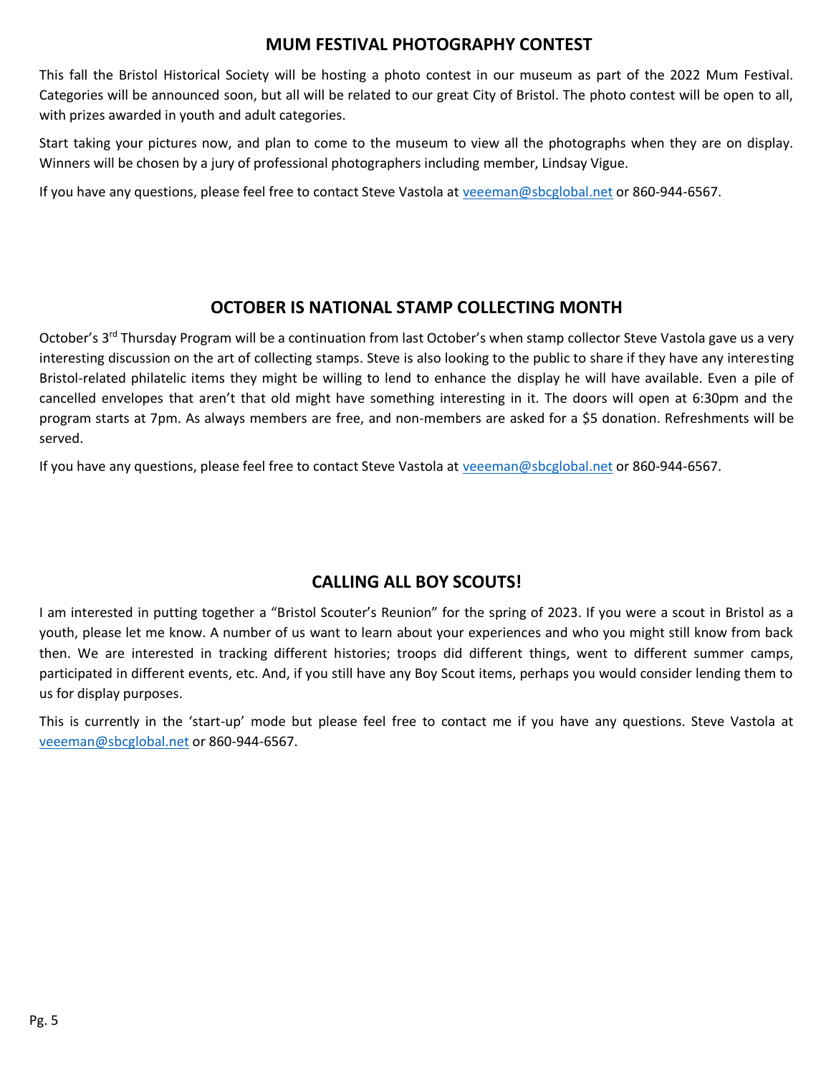#### **MUM FESTIVAL PHOTOGRAPHY CONTEST**

This fall the Bristol Historical Society will be hosting a photo contest in our museum as part of the 2022 Mum Festival. Categories will be announced soon, but all will be related to our great City of Bristol. The photo contest will be open to all, with prizes awarded in youth and adult categories.

Start taking your pictures now, and plan to come to the museum to view all the photographs when they are on display. Winners will be chosen by a jury of professional photographers including member, Lindsay Vigue.

If you have any questions, please feel free to contact Steve Vastola at [veeeman@sbcglobal.net](mailto:veeeman@sbcglobal.net) or 860-944-6567.

#### **OCTOBER IS NATIONAL STAMP COLLECTING MONTH**

October's 3<sup>rd</sup> Thursday Program will be a continuation from last October's when stamp collector Steve Vastola gave us a very interesting discussion on the art of collecting stamps. Steve is also looking to the public to share if they have any interesting Bristol-related philatelic items they might be willing to lend to enhance the display he will have available. Even a pile of cancelled envelopes that aren't that old might have something interesting in it. The doors will open at 6:30pm and the program starts at 7pm. As always members are free, and non-members are asked for a \$5 donation. Refreshments will be served.

If you have any questions, please feel free to contact Steve Vastola at [veeeman@sbcglobal.net](mailto:veeeman@sbcglobal.net) or 860-944-6567.

#### **CALLING ALL BOY SCOUTS!**

I am interested in putting together a "Bristol Scouter's Reunion" for the spring of 2023. If you were a scout in Bristol as a youth, please let me know. A number of us want to learn about your experiences and who you might still know from back then. We are interested in tracking different histories; troops did different things, went to different summer camps, participated in different events, etc. And, if you still have any Boy Scout items, perhaps you would consider lending them to us for display purposes.

This is currently in the 'start-up' mode but please feel free to contact me if you have any questions. Steve Vastola at [veeeman@sbcglobal.net](mailto:veeeman@sbcglobal.net) or 860-944-6567.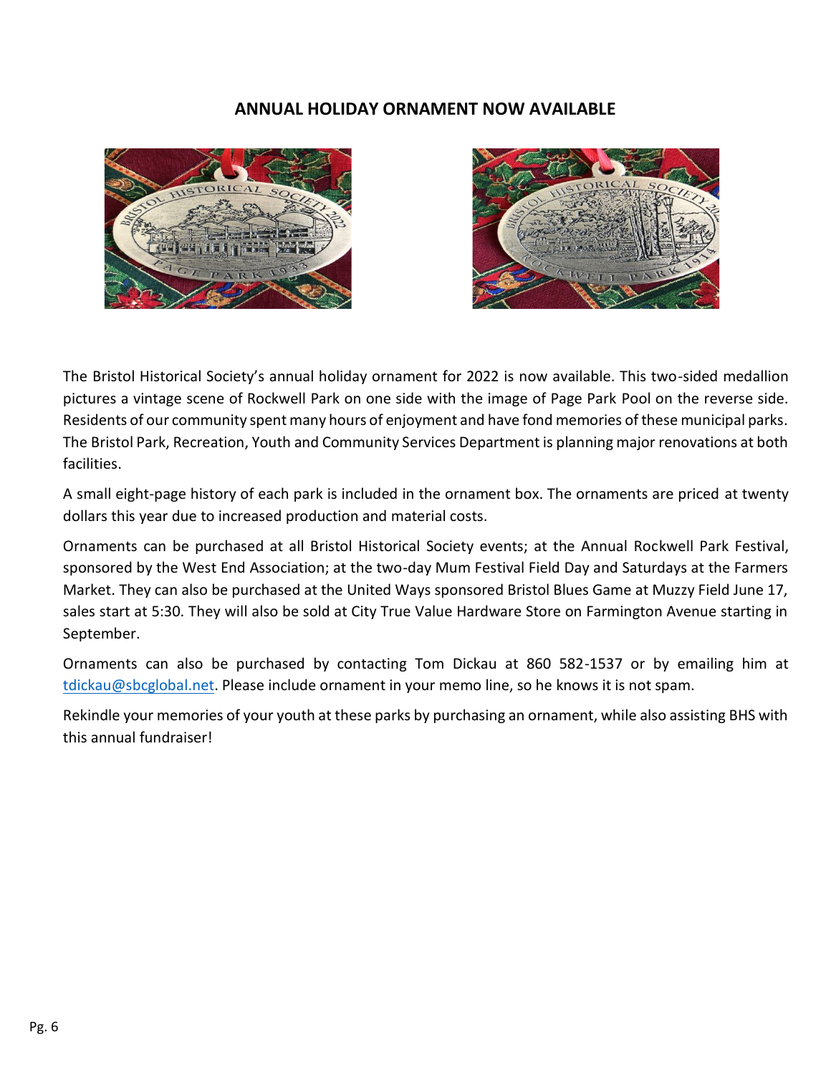#### **ANNUAL HOLIDAY ORNAMENT NOW AVAILABLE**





The Bristol Historical Society's annual holiday ornament for 2022 is now available. This two-sided medallion pictures a vintage scene of Rockwell Park on one side with the image of Page Park Pool on the reverse side. Residents of our community spent many hours of enjoyment and have fond memories of these municipal parks. The Bristol Park, Recreation, Youth and Community Services Department is planning major renovations at both facilities.

A small eight-page history of each park is included in the ornament box. The ornaments are priced at twenty dollars this year due to increased production and material costs.

Ornaments can be purchased at all Bristol Historical Society events; at the Annual Rockwell Park Festival, sponsored by the West End Association; at the two-day Mum Festival Field Day and Saturdays at the Farmers Market. They can also be purchased at the United Ways sponsored Bristol Blues Game at Muzzy Field June 17, sales start at 5:30. They will also be sold at City True Value Hardware Store on Farmington Avenue starting in September.

Ornaments can also be purchased by contacting Tom Dickau at 860 582-1537 or by emailing him at [tdickau@sbcglobal.net.](mailto:tdickau@sbcglobal.net) Please include ornament in your memo line, so he knows it is not spam.

Rekindle your memories of your youth at these parks by purchasing an ornament, while also assisting BHS with this annual fundraiser!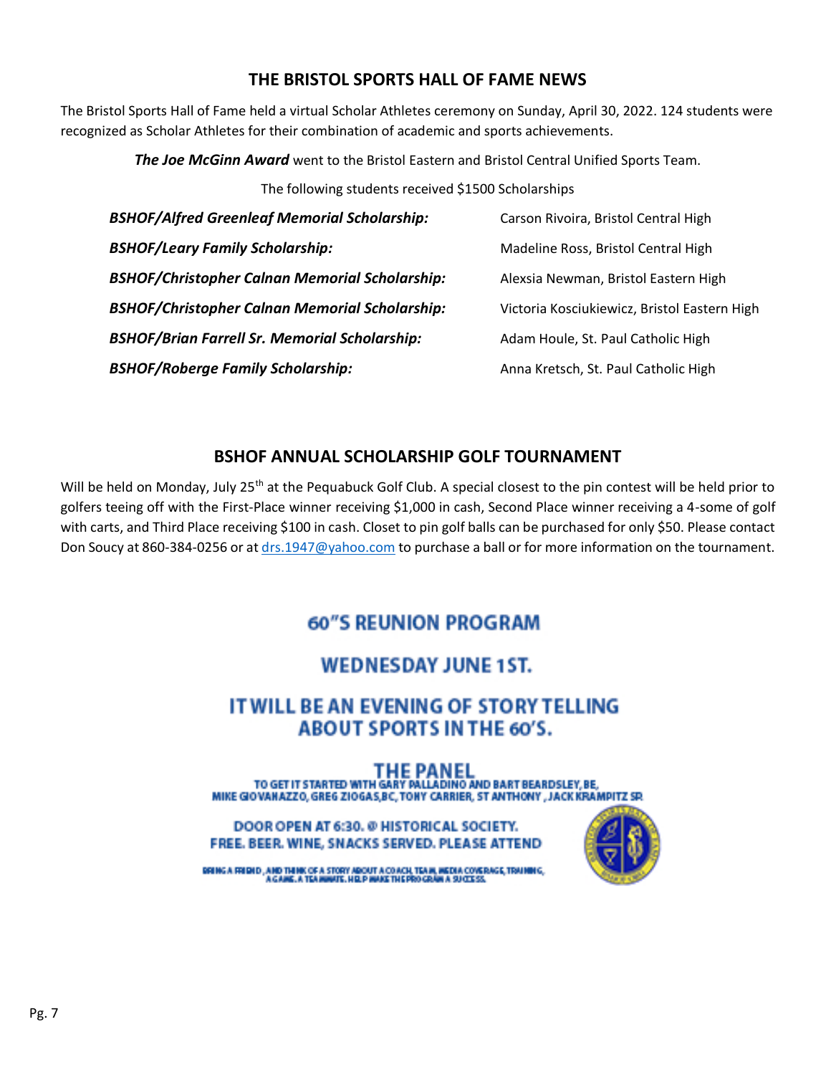#### **THE BRISTOL SPORTS HALL OF FAME NEWS**

The Bristol Sports Hall of Fame held a virtual Scholar Athletes ceremony on Sunday, April 30, 2022. 124 students were recognized as Scholar Athletes for their combination of academic and sports achievements.

*The Joe McGinn Award* went to the Bristol Eastern and Bristol Central Unified Sports Team.

The following students received \$1500 Scholarships

| <b>BSHOF/Alfred Greenleaf Memorial Scholarship:</b>   | Carson Rivoira, Bristol Central High         |
|-------------------------------------------------------|----------------------------------------------|
| <b>BSHOF/Leary Family Scholarship:</b>                | Madeline Ross, Bristol Central High          |
| <b>BSHOF/Christopher Calnan Memorial Scholarship:</b> | Alexsia Newman, Bristol Eastern High         |
| <b>BSHOF/Christopher Calnan Memorial Scholarship:</b> | Victoria Kosciukiewicz, Bristol Eastern High |
| <b>BSHOF/Brian Farrell Sr. Memorial Scholarship:</b>  | Adam Houle, St. Paul Catholic High           |
| <b>BSHOF/Roberge Family Scholarship:</b>              | Anna Kretsch, St. Paul Catholic High         |

#### **BSHOF ANNUAL SCHOLARSHIP GOLF TOURNAMENT**

Will be held on Monday, July 25<sup>th</sup> at the Pequabuck Golf Club. A special closest to the pin contest will be held prior to golfers teeing off with the First-Place winner receiving \$1,000 in cash, Second Place winner receiving a 4-some of golf with carts, and Third Place receiving \$100 in cash. Closet to pin golf balls can be purchased for only \$50. Please contact Don Soucy at 860-384-0256 or at [drs.1947@yahoo.com](mailto:drs.1947@yahoo.com) to purchase a ball or for more information on the tournament.

## **60"S REUNION PROGRAM**

## **WEDNESDAY JUNE 1ST.**

## IT WILL BE AN EVENING OF STORY TELLING **ABOUT SPORTS IN THE 60'S.**

THE PANEL<br>TO GET IT STARTED WITH GARY PALLADING AND BART BEARDSLEY, BE, MIKE GIOVANAZZO, GREG ZIOGAS, BC, TONY CARRIER, ST ANTHONY, JACK KRAMPITZ SP.

DOOR OPEN AT 6:30. @ HISTORICAL SOCIETY. FREE. BEER. WINE, SNACKS SERVED. PLEASE ATTEND



GRING A FRIDID, AND THINK OF A STORY ABOUT A COACH, TEAM, WEDIA COVERAGE, TRAINING, A SAME, A TEAMWITE, HELP WAKE THE PROCRAIN A SUIDERS.